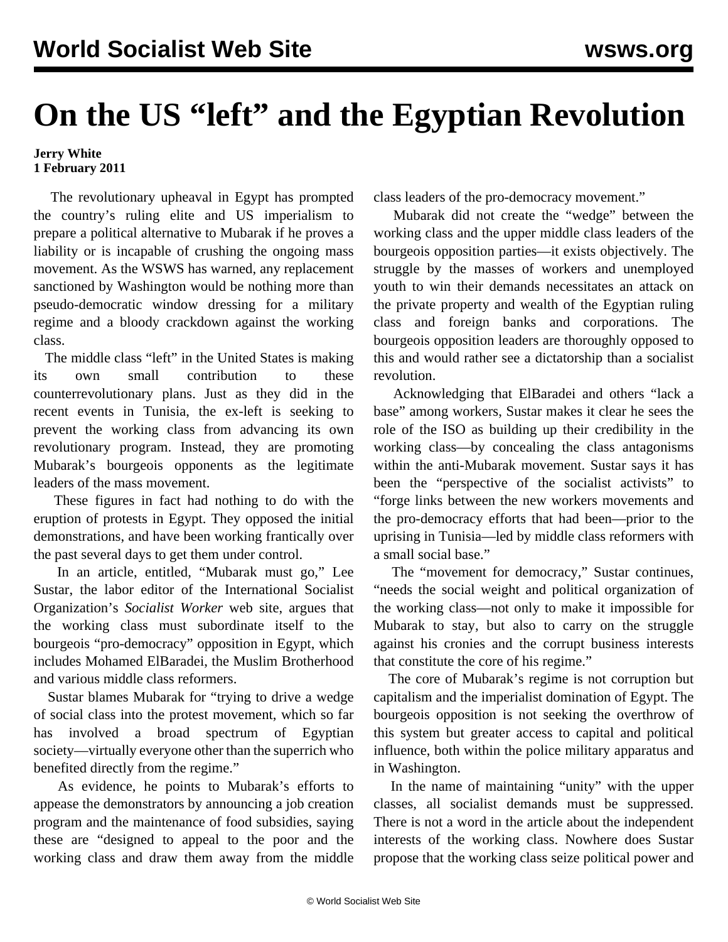## **On the US "left" and the Egyptian Revolution**

## **Jerry White 1 February 2011**

 The revolutionary upheaval in Egypt has prompted the country's ruling elite and US imperialism to prepare a political alternative to Mubarak if he proves a liability or is incapable of crushing the ongoing mass movement. As the WSWS has warned, any replacement sanctioned by Washington would be nothing more than pseudo-democratic window dressing for a military regime and a bloody crackdown against the working class.

 The middle class "left" in the United States is making its own small contribution to these counterrevolutionary plans. Just as they did in the recent events in Tunisia, the ex-left is seeking to prevent the working class from advancing its own revolutionary program. Instead, they are promoting Mubarak's bourgeois opponents as the legitimate leaders of the mass movement.

 These figures in fact had nothing to do with the eruption of protests in Egypt. They opposed the initial demonstrations, and have been working frantically over the past several days to get them under control.

 In an article, entitled, "Mubarak must go," Lee Sustar, the labor editor of the International Socialist Organization's *Socialist Worker* web site, argues that the working class must subordinate itself to the bourgeois "pro-democracy" opposition in Egypt, which includes Mohamed ElBaradei, the Muslim Brotherhood and various middle class reformers.

 Sustar blames Mubarak for "trying to drive a wedge of social class into the protest movement, which so far has involved a broad spectrum of Egyptian society—virtually everyone other than the superrich who benefited directly from the regime."

 As evidence, he points to Mubarak's efforts to appease the demonstrators by announcing a job creation program and the maintenance of food subsidies, saying these are "designed to appeal to the poor and the working class and draw them away from the middle class leaders of the pro-democracy movement."

 Mubarak did not create the "wedge" between the working class and the upper middle class leaders of the bourgeois opposition parties—it exists objectively. The struggle by the masses of workers and unemployed youth to win their demands necessitates an attack on the private property and wealth of the Egyptian ruling class and foreign banks and corporations. The bourgeois opposition leaders are thoroughly opposed to this and would rather see a dictatorship than a socialist revolution.

 Acknowledging that ElBaradei and others "lack a base" among workers, Sustar makes it clear he sees the role of the ISO as building up their credibility in the working class—by concealing the class antagonisms within the anti-Mubarak movement. Sustar says it has been the "perspective of the socialist activists" to "forge links between the new workers movements and the pro-democracy efforts that had been—prior to the uprising in Tunisia—led by middle class reformers with a small social base."

 The "movement for democracy," Sustar continues, "needs the social weight and political organization of the working class—not only to make it impossible for Mubarak to stay, but also to carry on the struggle against his cronies and the corrupt business interests that constitute the core of his regime."

 The core of Mubarak's regime is not corruption but capitalism and the imperialist domination of Egypt. The bourgeois opposition is not seeking the overthrow of this system but greater access to capital and political influence, both within the police military apparatus and in Washington.

 In the name of maintaining "unity" with the upper classes, all socialist demands must be suppressed. There is not a word in the article about the independent interests of the working class. Nowhere does Sustar propose that the working class seize political power and